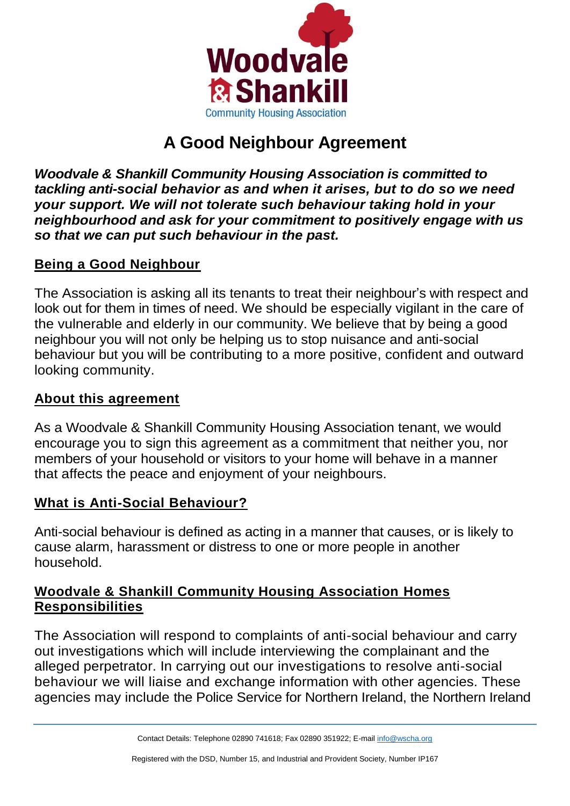

# **A Good Neighbour Agreement**

*Woodvale & Shankill Community Housing Association is committed to tackling anti-social behavior as and when it arises, but to do so we need your support. We will not tolerate such behaviour taking hold in your neighbourhood and ask for your commitment to positively engage with us so that we can put such behaviour in the past.*

# **Being a Good Neighbour**

The Association is asking all its tenants to treat their neighbour's with respect and look out for them in times of need. We should be especially vigilant in the care of the vulnerable and elderly in our community. We believe that by being a good neighbour you will not only be helping us to stop nuisance and anti-social behaviour but you will be contributing to a more positive, confident and outward looking community.

#### **About this agreement**

As a Woodvale & Shankill Community Housing Association tenant, we would encourage you to sign this agreement as a commitment that neither you, nor members of your household or visitors to your home will behave in a manner that affects the peace and enjoyment of your neighbours.

# **What is Anti-Social Behaviour?**

Anti-social behaviour is defined as acting in a manner that causes, or is likely to cause alarm, harassment or distress to one or more people in another household.

## **Woodvale & Shankill Community Housing Association Homes Responsibilities**

The Association will respond to complaints of anti-social behaviour and carry out investigations which will include interviewing the complainant and the alleged perpetrator. In carrying out our investigations to resolve anti-social behaviour we will liaise and exchange information with other agencies. These agencies may include the Police Service for Northern Ireland, the Northern Ireland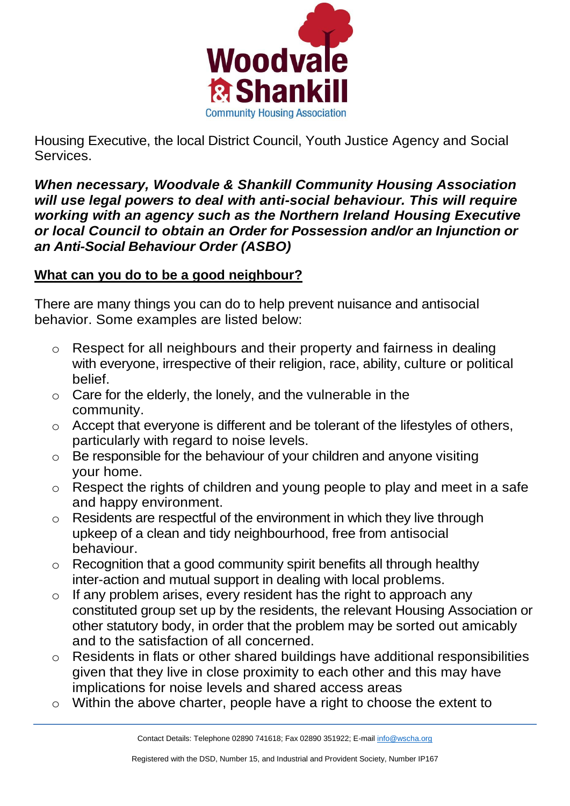

Housing Executive, the local District Council, Youth Justice Agency and Social **Services** 

*When necessary, Woodvale & Shankill Community Housing Association will use legal powers to deal with anti-social behaviour. This will require working with an agency such as the Northern Ireland Housing Executive or local Council to obtain an Order for Possession and/or an Injunction or an Anti-Social Behaviour Order (ASBO)*

## **What can you do to be a good neighbour?**

There are many things you can do to help prevent nuisance and antisocial behavior. Some examples are listed below:

- o Respect for all neighbours and their property and fairness in dealing with everyone, irrespective of their religion, race, ability, culture or political belief.
- $\circ$  Care for the elderly, the lonely, and the vulnerable in the community.
- o Accept that everyone is different and be tolerant of the lifestyles of others, particularly with regard to noise levels.
- $\circ$  Be responsible for the behaviour of your children and anyone visiting your home.
- o Respect the rights of children and young people to play and meet in a safe and happy environment.
- $\circ$  Residents are respectful of the environment in which they live through upkeep of a clean and tidy neighbourhood, free from antisocial behaviour.
- $\circ$  Recognition that a good community spirit benefits all through healthy inter-action and mutual support in dealing with local problems.
- $\circ$  If any problem arises, every resident has the right to approach any constituted group set up by the residents, the relevant Housing Association or other statutory body, in order that the problem may be sorted out amicably and to the satisfaction of all concerned.
- o Residents in flats or other shared buildings have additional responsibilities given that they live in close proximity to each other and this may have implications for noise levels and shared access areas
- o Within the above charter, people have a right to choose the extent to